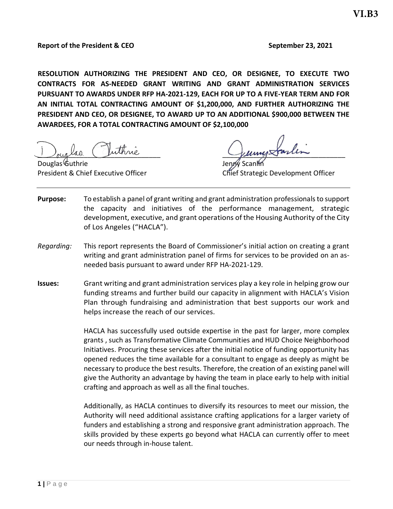**RESOLUTION AUTHORIZING THE PRESIDENT AND CEO, OR DESIGNEE, TO EXECUTE TWO CONTRACTS FOR AS-NEEDED GRANT WRITING AND GRANT ADMINISTRATION SERVICES PURSUANT TO AWARDS UNDER RFP HA-2021-129, EACH FOR UP TO A FIVE-YEAR TERM AND FOR AN INITIAL TOTAL CONTRACTING AMOUNT OF \$1,200,000, AND FURTHER AUTHORIZING THE PRESIDENT AND CEO, OR DESIGNEE, TO AWARD UP TO AN ADDITIONAL \$900,000 BETWEEN THE AWARDEES, FOR A TOTAL CONTRACTING AMOUNT OF \$2,100,000**

Juiglas Juinne Juin Guing Sanin

Douglas<sup>(</sup>Guthrie

President & Chief Executive Officer Chief Strategic Development Officer

- **Purpose:** To establish a panel of grant writing and grant administration professionals to support the capacity and initiatives of the performance management, strategic development, executive, and grant operations of the Housing Authority of the City of Los Angeles ("HACLA").
- *Regarding:* This report represents the Board of Commissioner's initial action on creating a grant writing and grant administration panel of firms for services to be provided on an asneeded basis pursuant to award under RFP HA-2021-129.
- **Issues:** Grant writing and grant administration services play a key role in helping grow our funding streams and further build our capacity in alignment with HACLA's Vision Plan through fundraising and administration that best supports our work and helps increase the reach of our services.

HACLA has successfully used outside expertise in the past for larger, more complex grants , such as Transformative Climate Communities and HUD Choice Neighborhood Initiatives. Procuring these services after the initial notice of funding opportunity has opened reduces the time available for a consultant to engage as deeply as might be necessary to produce the best results. Therefore, the creation of an existing panel will give the Authority an advantage by having the team in place early to help with initial crafting and approach as well as all the final touches.

Additionally, as HACLA continues to diversify its resources to meet our mission, the Authority will need additional assistance crafting applications for a larger variety of funders and establishing a strong and responsive grant administration approach. The skills provided by these experts go beyond what HACLA can currently offer to meet our needs through in-house talent.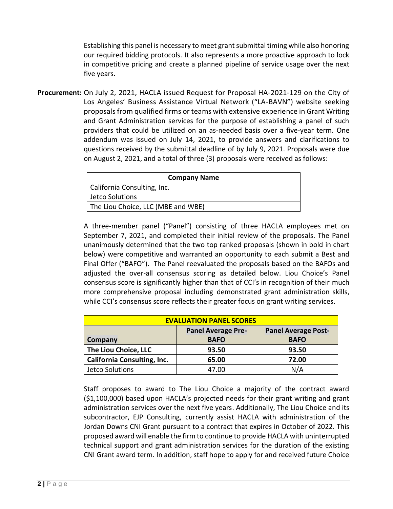Establishing this panel is necessary to meet grant submittal timing while also honoring our required bidding protocols. It also represents a more proactive approach to lock in competitive pricing and create a planned pipeline of service usage over the next five years.

**Procurement:** On July 2, 2021, HACLA issued Request for Proposal HA-2021-129 on the City of Los Angeles' Business Assistance Virtual Network ("LA-BAVN") website seeking proposals from qualified firms or teams with extensive experience in Grant Writing and Grant Administration services for the purpose of establishing a panel of such providers that could be utilized on an as-needed basis over a five-year term. One addendum was issued on July 14, 2021, to provide answers and clarifications to questions received by the submittal deadline of by July 9, 2021. Proposals were due on August 2, 2021, and a total of three (3) proposals were received as follows:

| <b>Company Name</b>                |
|------------------------------------|
| California Consulting, Inc.        |
| Jetco Solutions                    |
| The Liou Choice, LLC (MBE and WBE) |

A three-member panel ("Panel") consisting of three HACLA employees met on September 7, 2021, and completed their initial review of the proposals. The Panel unanimously determined that the two top ranked proposals (shown in bold in chart below) were competitive and warranted an opportunity to each submit a Best and Final Offer ("BAFO"). The Panel reevaluated the proposals based on the BAFOs and adjusted the over-all consensus scoring as detailed below. Liou Choice's Panel consensus score is significantly higher than that of CCI's in recognition of their much more comprehensive proposal including demonstrated grant administration skills, while CCI's consensus score reflects their greater focus on grant writing services.

| <b>EVALUATION PANEL SCORES</b>     |                           |                            |  |  |  |
|------------------------------------|---------------------------|----------------------------|--|--|--|
|                                    | <b>Panel Average Pre-</b> | <b>Panel Average Post-</b> |  |  |  |
| <b>Company</b>                     | <b>BAFO</b>               | <b>BAFO</b>                |  |  |  |
| The Liou Choice, LLC               | 93.50                     | 93.50                      |  |  |  |
| <b>California Consulting, Inc.</b> | 65.00                     | 72.00                      |  |  |  |
| Jetco Solutions                    | 47.00                     | N/A                        |  |  |  |

Staff proposes to award to The Liou Choice a majority of the contract award (\$1,100,000) based upon HACLA's projected needs for their grant writing and grant administration services over the next five years. Additionally, The Liou Choice and its subcontractor, EJP Consulting, currently assist HACLA with administration of the Jordan Downs CNI Grant pursuant to a contract that expires in October of 2022. This proposed award will enable the firm to continue to provide HACLA with uninterrupted technical support and grant administration services for the duration of the existing CNI Grant award term. In addition, staff hope to apply for and received future Choice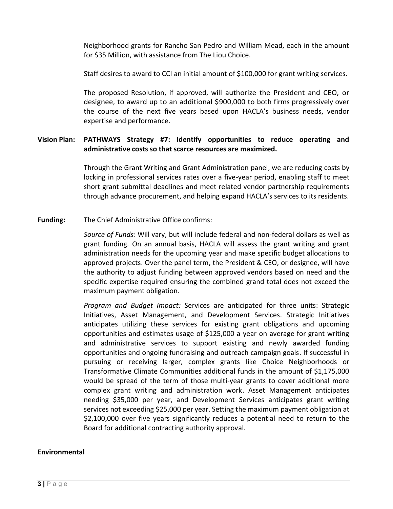Neighborhood grants for Rancho San Pedro and William Mead, each in the amount for \$35 Million, with assistance from The Liou Choice.

Staff desires to award to CCI an initial amount of \$100,000 for grant writing services.

The proposed Resolution, if approved, will authorize the President and CEO, or designee, to award up to an additional \$900,000 to both firms progressively over the course of the next five years based upon HACLA's business needs, vendor expertise and performance.

#### **Vision Plan: PATHWAYS Strategy #7: Identify opportunities to reduce operating and administrative costs so that scarce resources are maximized.**

Through the Grant Writing and Grant Administration panel, we are reducing costs by locking in professional services rates over a five-year period, enabling staff to meet short grant submittal deadlines and meet related vendor partnership requirements through advance procurement, and helping expand HACLA's services to its residents.

#### **Funding:** The Chief Administrative Office confirms:

*Source of Funds:* Will vary, but will include federal and non-federal dollars as well as grant funding*.* On an annual basis, HACLA will assess the grant writing and grant administration needs for the upcoming year and make specific budget allocations to approved projects. Over the panel term, the President & CEO, or designee, will have the authority to adjust funding between approved vendors based on need and the specific expertise required ensuring the combined grand total does not exceed the maximum payment obligation.

*Program and Budget Impact:* Services are anticipated for three units: Strategic Initiatives, Asset Management, and Development Services. Strategic Initiatives anticipates utilizing these services for existing grant obligations and upcoming opportunities and estimates usage of \$125,000 a year on average for grant writing and administrative services to support existing and newly awarded funding opportunities and ongoing fundraising and outreach campaign goals. If successful in pursuing or receiving larger, complex grants like Choice Neighborhoods or Transformative Climate Communities additional funds in the amount of \$1,175,000 would be spread of the term of those multi-year grants to cover additional more complex grant writing and administration work. Asset Management anticipates needing \$35,000 per year, and Development Services anticipates grant writing services not exceeding \$25,000 per year. Setting the maximum payment obligation at \$2,100,000 over five years significantly reduces a potential need to return to the Board for additional contracting authority approval.

#### **Environmental**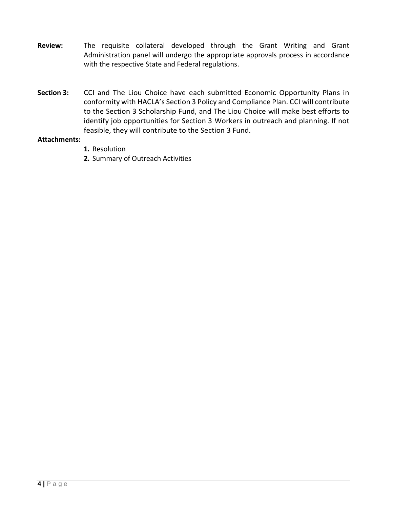- **Review:** The requisite collateral developed through the Grant Writing and Grant Administration panel will undergo the appropriate approvals process in accordance with the respective State and Federal regulations.
- **Section 3:** CCI and The Liou Choice have each submitted Economic Opportunity Plans in conformity with HACLA's Section 3 Policy and Compliance Plan. CCI will contribute to the Section 3 Scholarship Fund, and The Liou Choice will make best efforts to identify job opportunities for Section 3 Workers in outreach and planning. If not feasible, they will contribute to the Section 3 Fund.

#### **Attachments:**

- **1.** Resolution
- **2.** Summary of Outreach Activities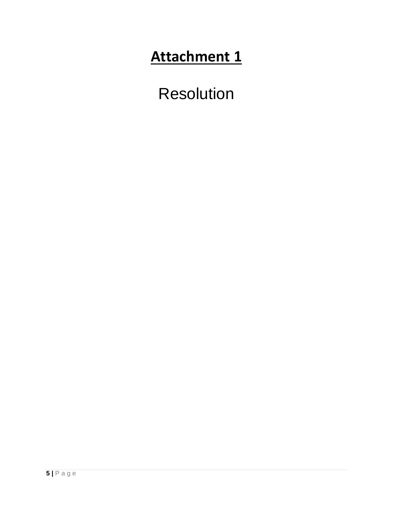# **Attachment 1**

Resolution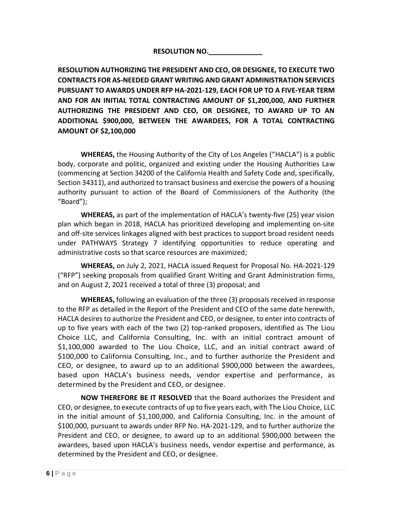### **RESOLUTION NO.\_\_\_\_\_\_\_\_\_\_\_\_\_\_**

**RESOLUTION AUTHORIZING THE PRESIDENT AND CEO, OR DESIGNEE, TO EXECUTE TWO CONTRACTS FOR AS-NEEDED GRANT WRITING AND GRANT ADMINISTRATION SERVICES PURSUANT TO AWARDS UNDER RFP HA-2021-129, EACH FOR UP TO A FIVE-YEAR TERM AND FOR AN INITIAL TOTAL CONTRACTING AMOUNT OF \$1,200,000, AND FURTHER AUTHORIZING THE PRESIDENT AND CEO, OR DESIGNEE, TO AWARD UP TO AN ADDITIONAL \$900,000, BETWEEN THE AWARDEES, FOR A TOTAL CONTRACTING AMOUNT OF \$2,100,000** 

**WHEREAS,** the Housing Authority of the City of Los Angeles ("HACLA") is a public body, corporate and politic, organized and existing under the Housing Authorities Law (commencing at Section 34200 of the California Health and Safety Code and, specifically, Section 34311), and authorized to transact business and exercise the powers of a housing authority pursuant to action of the Board of Commissioners of the Authority (the "Board");

**WHEREAS,** as part of the implementation of HACLA's twenty-five (25) year vision plan which began in 2018, HACLA has prioritized developing and implementing on-site and off-site services linkages aligned with best practices to support broad resident needs under PATHWAYS Strategy 7 identifying opportunities to reduce operating and administrative costs so that scarce resources are maximized;

**WHEREAS,** on July 2, 2021, HACLA issued Request for Proposal No. HA-2021-129 ("RFP") seeking proposals from qualified Grant Writing and Grant Administration firms, and on August 2, 2021 received a total of three (3) proposal; and

**WHEREAS,** following an evaluation of the three (3) proposals received in response to the RFP as detailed in the Report of the President and CEO of the same date herewith, HACLA desires to authorize the President and CEO, or designee, to enter into contracts of up to five years with each of the two (2) top-ranked proposers, identified as The Liou Choice LLC, and California Consulting, Inc. with an initial contract amount of \$1,100,000 awarded to The Liou Choice, LLC, and an initial contract award of \$100,000 to California Consulting, Inc., and to further authorize the President and CEO, or designee, to award up to an additional \$900,000 between the awardees, based upon HACLA's business needs, vendor expertise and performance, as determined by the President and CEO, or designee.

**NOW THEREFORE BE IT RESOLVED** that the Board authorizes the President and CEO, or designee, to execute contracts of up to five years each, with The Liou Choice, LLC in the initial amount of \$1,100,000, and California Consulting, Inc. in the amount of \$100,000, pursuant to awards under RFP No. HA-2021-129, and to further authorize the President and CEO, or designee, to award up to an additional \$900,000 between the awardees, based upon HACLA's business needs, vendor expertise and performance, as determined by the President and CEO, or designee.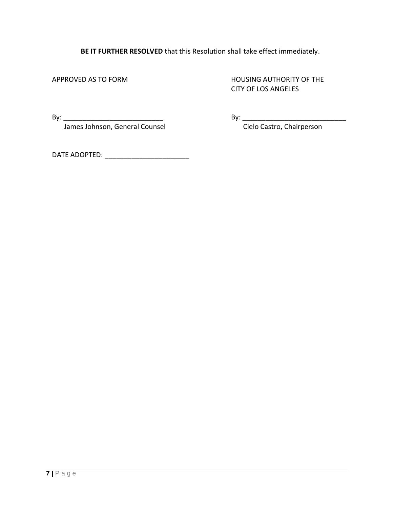**BE IT FURTHER RESOLVED** that this Resolution shall take effect immediately.

APPROVED AS TO FORM **HOUSING AUTHORITY OF THE** CITY OF LOS ANGELES

By: \_\_\_\_\_\_\_\_\_\_\_\_\_\_\_\_\_\_\_\_\_\_\_\_\_\_ By: \_\_\_\_\_\_\_\_\_\_\_\_\_\_\_\_\_\_\_\_\_\_\_\_\_\_\_ James Johnson, General Counsel

DATE ADOPTED: \_\_\_\_\_\_\_\_\_\_\_\_\_\_\_\_\_\_\_\_\_\_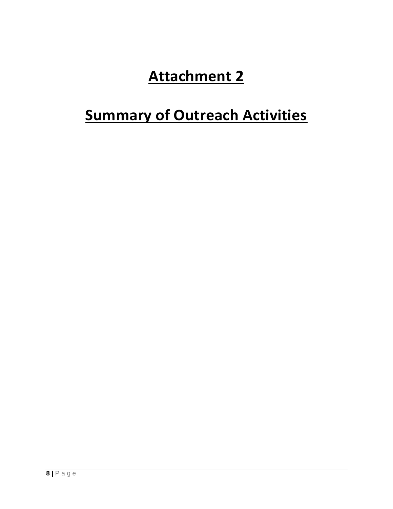# **Attachment 2**

# **Summary of Outreach Activities**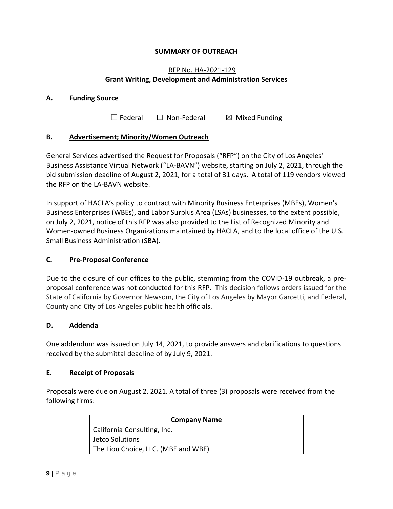#### **SUMMARY OF OUTREACH**

#### RFP No. HA-2021-129 **Grant Writing, Development and Administration Services**

#### **A. Funding Source**

 $\Box$  Federal  $\Box$  Non-Federal  $\boxtimes$  Mixed Funding

#### **B. Advertisement; Minority/Women Outreach**

General Services advertised the Request for Proposals ("RFP") on the City of Los Angeles' Business Assistance Virtual Network ("LA-BAVN") website, starting on July 2, 2021, through the bid submission deadline of August 2, 2021, for a total of 31 days. A total of 119 vendors viewed the RFP on the LA-BAVN website.

In support of HACLA's policy to contract with Minority Business Enterprises (MBEs), Women's Business Enterprises (WBEs), and Labor Surplus Area (LSAs) businesses, to the extent possible, on July 2, 2021, notice of this RFP was also provided to the List of Recognized Minority and Women-owned Business Organizations maintained by HACLA, and to the local office of the U.S. Small Business Administration (SBA).

#### **C. Pre-Proposal Conference**

Due to the closure of our offices to the public, stemming from the COVID-19 outbreak, a preproposal conference was not conducted for this RFP. This decision follows orders issued for the State of California by Governor Newsom, the City of Los Angeles by Mayor Garcetti, and Federal, County and City of Los Angeles public health officials.

#### **D. Addenda**

One addendum was issued on July 14, 2021, to provide answers and clarifications to questions received by the submittal deadline of by July 9, 2021.

#### **E. Receipt of Proposals**

Proposals were due on August 2, 2021. A total of three (3) proposals were received from the following firms:

| <b>Company Name</b>                 |
|-------------------------------------|
| California Consulting, Inc.         |
| Jetco Solutions                     |
| The Liou Choice, LLC. (MBE and WBE) |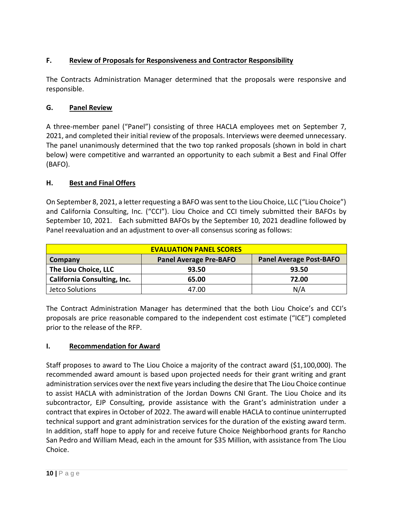# **F. Review of Proposals for Responsiveness and Contractor Responsibility**

The Contracts Administration Manager determined that the proposals were responsive and responsible.

## **G. Panel Review**

A three-member panel ("Panel") consisting of three HACLA employees met on September 7, 2021, and completed their initial review of the proposals. Interviews were deemed unnecessary. The panel unanimously determined that the two top ranked proposals (shown in bold in chart below) were competitive and warranted an opportunity to each submit a Best and Final Offer (BAFO).

# **H. Best and Final Offers**

On September 8, 2021, a letter requesting a BAFO was sent to the Liou Choice, LLC ("Liou Choice") and California Consulting, Inc. ("CCI"). Liou Choice and CCI timely submitted their BAFOs by September 10, 2021. Each submitted BAFOs by the September 10, 2021 deadline followed by Panel reevaluation and an adjustment to over-all consensus scoring as follows:

| <b>EVALUATION PANEL SCORES</b>     |                               |                                |  |  |
|------------------------------------|-------------------------------|--------------------------------|--|--|
| <b>Company</b>                     | <b>Panel Average Pre-BAFO</b> | <b>Panel Average Post-BAFO</b> |  |  |
| The Liou Choice, LLC               | 93.50                         | 93.50                          |  |  |
| <b>California Consulting, Inc.</b> | 65.00                         | 72.00                          |  |  |
| Jetco Solutions                    | 47.00                         | N/A                            |  |  |

The Contract Administration Manager has determined that the both Liou Choice's and CCI's proposals are price reasonable compared to the independent cost estimate ("ICE") completed prior to the release of the RFP.

### **I. Recommendation for Award**

Staff proposes to award to The Liou Choice a majority of the contract award (\$1,100,000). The recommended award amount is based upon projected needs for their grant writing and grant administration services over the next five years including the desire that The Liou Choice continue to assist HACLA with administration of the Jordan Downs CNI Grant. The Liou Choice and its subcontractor, EJP Consulting, provide assistance with the Grant's administration under a contract that expires in October of 2022. The award will enable HACLA to continue uninterrupted technical support and grant administration services for the duration of the existing award term. In addition, staff hope to apply for and receive future Choice Neighborhood grants for Rancho San Pedro and William Mead, each in the amount for \$35 Million, with assistance from The Liou Choice.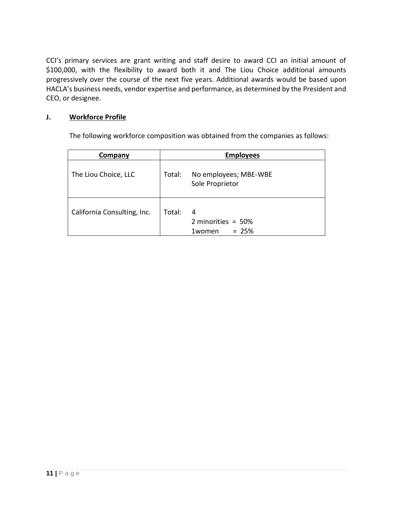CCI's primary services are grant writing and staff desire to award CCI an initial amount of \$100,000, with the flexibility to award both it and The Liou Choice additional amounts progressively over the course of the next five years. Additional awards would be based upon HACLA's business needs, vendor expertise and performance, as determined by the President and CEO, or designee.

### **J. Workforce Profile**

The following workforce composition was obtained from the companies as follows:

| Company                     | <b>Employees</b> |                                                 |
|-----------------------------|------------------|-------------------------------------------------|
| The Liou Choice, LLC        | Total:           | No employees; MBE-WBE<br>Sole Proprietor        |
| California Consulting, Inc. | Total:           | 4<br>2 minorities = $50\%$<br>$= 25%$<br>1women |